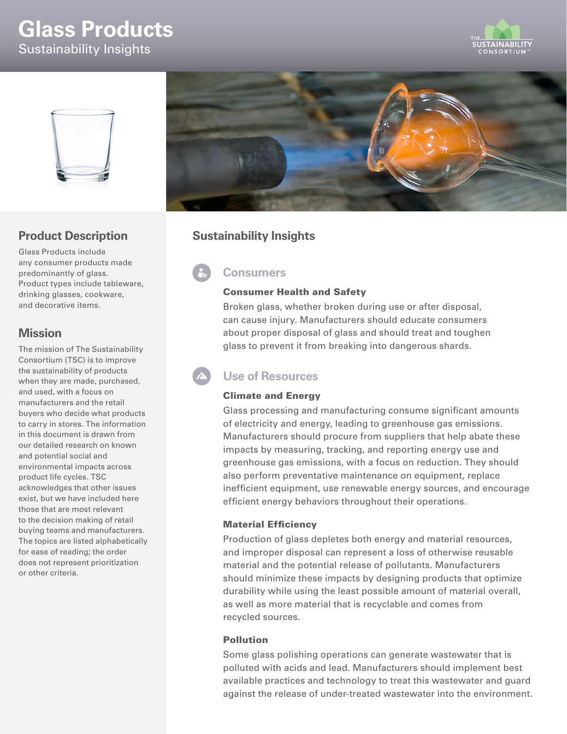# **Glass Products** Sustainability Insights





## **Product Description**

Glass Products include any consumer products made predominantly of glass. Product types include tableware, drinking glasses, cookware, and decorative items.

## **Mission**

The mission of The Sustainability Consortium (TSC) is to improve the sustainability of products when they are made, purchased, and used, with a focus on manufacturers and the retail buyers who decide what products to carry in stores. The information in this document is drawn from our detailed research on known and potential social and environmental impacts across product life cycles. TSC acknowledges that other issues exist, but we have included here those that are most relevant to the decision making of retail buying teams and manufacturers. The topics are listed alphabetically for ease of reading; the order does not represent prioritization or other criteria.



## **Sustainability Insights**

**Consumers**

#### Consumer Health and Safety

Broken glass, whether broken during use or after disposal, can cause injury. Manufacturers should educate consumers about proper disposal of glass and should treat and toughen glass to prevent it from breaking into dangerous shards.

## **Use of Resources**

### Climate and Energy

Glass processing and manufacturing consume significant amounts of electricity and energy, leading to greenhouse gas emissions. Manufacturers should procure from suppliers that help abate these impacts by measuring, tracking, and reporting energy use and greenhouse gas emissions, with a focus on reduction. They should also perform preventative maintenance on equipment, replace inefficient equipment, use renewable energy sources, and encourage efficient energy behaviors throughout their operations.

#### Material Efficiency

Production of glass depletes both energy and material resources, and improper disposal can represent a loss of otherwise reusable material and the potential release of pollutants. Manufacturers should minimize these impacts by designing products that optimize durability while using the least possible amount of material overall, as well as more material that is recyclable and comes from recycled sources.

#### Pollution

Some glass polishing operations can generate wastewater that is polluted with acids and lead. Manufacturers should implement best available practices and technology to treat this wastewater and guard against the release of under-treated wastewater into the environment.